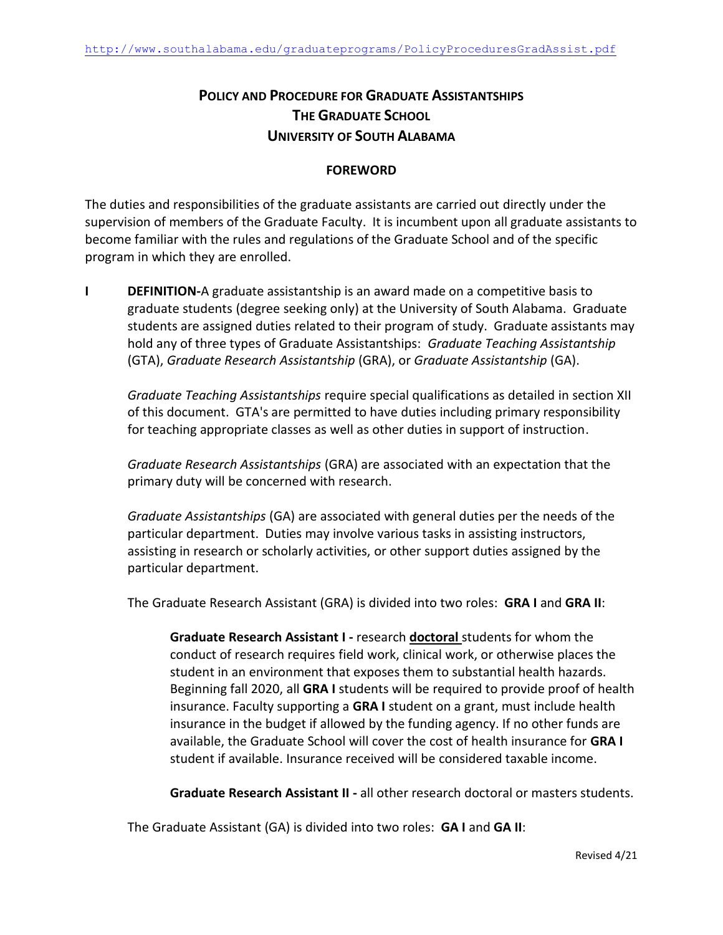# **POLICY AND PROCEDURE FOR GRADUATE ASSISTANTSHIPS THE GRADUATE SCHOOL UNIVERSITY OF SOUTH ALABAMA**

### **FOREWORD**

The duties and responsibilities of the graduate assistants are carried out directly under the supervision of members of the Graduate Faculty. It is incumbent upon all graduate assistants to become familiar with the rules and regulations of the Graduate School and of the specific program in which they are enrolled.

**I DEFINITION-A** graduate assistantship is an award made on a competitive basis to graduate students (degree seeking only) at the University of South Alabama. Graduate students are assigned duties related to their program of study. Graduate assistants may hold any of three types of Graduate Assistantships: *Graduate Teaching Assistantship* (GTA), *Graduate Research Assistantship* (GRA), or *Graduate Assistantship* (GA).

*Graduate Teaching Assistantships* require special qualifications as detailed in section XII of this document. GTA's are permitted to have duties including primary responsibility for teaching appropriate classes as well as other duties in support of instruction.

*Graduate Research Assistantships* (GRA) are associated with an expectation that the primary duty will be concerned with research.

*Graduate Assistantships* (GA) are associated with general duties per the needs of the particular department. Duties may involve various tasks in assisting instructors, assisting in research or scholarly activities, or other support duties assigned by the particular department.

The Graduate Research Assistant (GRA) is divided into two roles: **GRA I** and **GRA II**:

**Graduate Research Assistant I -** research **doctoral** students for whom the conduct of research requires field work, clinical work, or otherwise places the student in an environment that exposes them to substantial health hazards. Beginning fall 2020, all **GRA I** students will be required to provide proof of health insurance. Faculty supporting a **GRA I** student on a grant, must include health insurance in the budget if allowed by the funding agency. If no other funds are available, the Graduate School will cover the cost of health insurance for **GRA I** student if available. Insurance received will be considered taxable income.

**Graduate Research Assistant II -** all other research doctoral or masters students.

The Graduate Assistant (GA) is divided into two roles: **GA I** and **GA II**: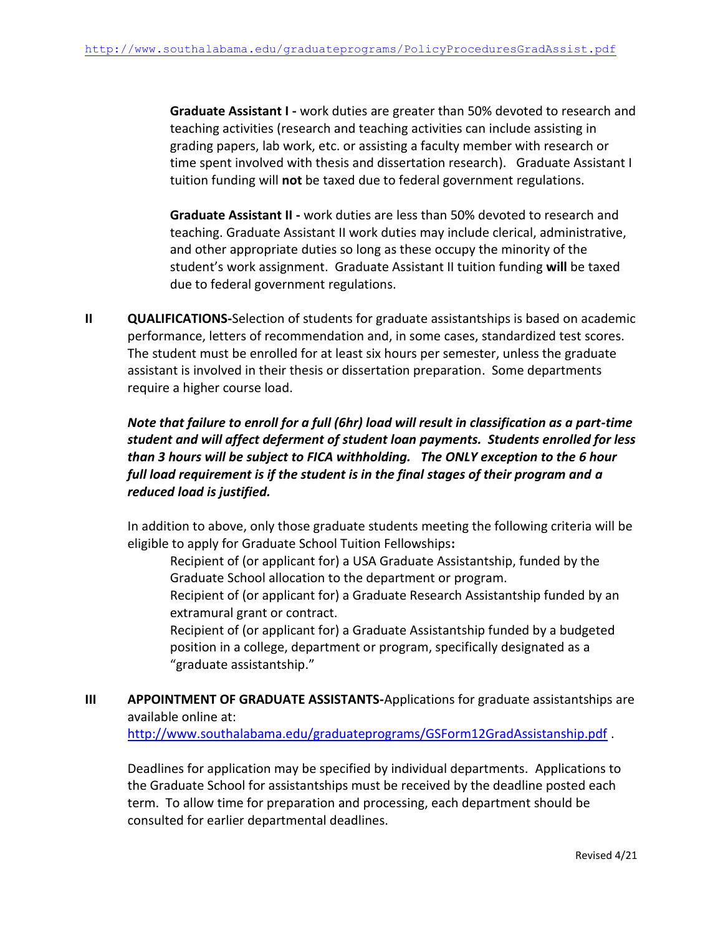**Graduate Assistant I -** work duties are greater than 50% devoted to research and teaching activities (research and teaching activities can include assisting in grading papers, lab work, etc. or assisting a faculty member with research or time spent involved with thesis and dissertation research). Graduate Assistant I tuition funding will **not** be taxed due to federal government regulations.

**Graduate Assistant II -** work duties are less than 50% devoted to research and teaching. Graduate Assistant II work duties may include clerical, administrative, and other appropriate duties so long as these occupy the minority of the student's work assignment. Graduate Assistant II tuition funding **will** be taxed due to federal government regulations.

**II QUALIFICATIONS-Selection of students for graduate assistantships is based on academic** performance, letters of recommendation and, in some cases, standardized test scores. The student must be enrolled for at least six hours per semester, unless the graduate assistant is involved in their thesis or dissertation preparation. Some departments require a higher course load.

## *Note that failure to enroll for a full (6hr) load will result in classification as a part-time student and will affect deferment of student loan payments. Students enrolled for less than 3 hours will be subject to FICA withholding. The ONLY exception to the 6 hour full load requirement is if the student is in the final stages of their program and a reduced load is justified.*

In addition to above, only those graduate students meeting the following criteria will be eligible to apply for Graduate School Tuition Fellowships**:**

Recipient of (or applicant for) a USA Graduate Assistantship, funded by the Graduate School allocation to the department or program.

Recipient of (or applicant for) a Graduate Research Assistantship funded by an extramural grant or contract.

Recipient of (or applicant for) a Graduate Assistantship funded by a budgeted position in a college, department or program, specifically designated as a "graduate assistantship."

**III APPOINTMENT OF GRADUATE ASSISTANTS-Applications for graduate assistantships are** available online at: http://www.southalabama.edu/graduateprograms/GSForm12GradAssistanship.pdf.

Deadlines for application may be specified by individual departments. Applications to the Graduate School for assistantships must be received by the deadline posted each term. To allow time for preparation and processing, each department should be consulted for earlier departmental deadlines.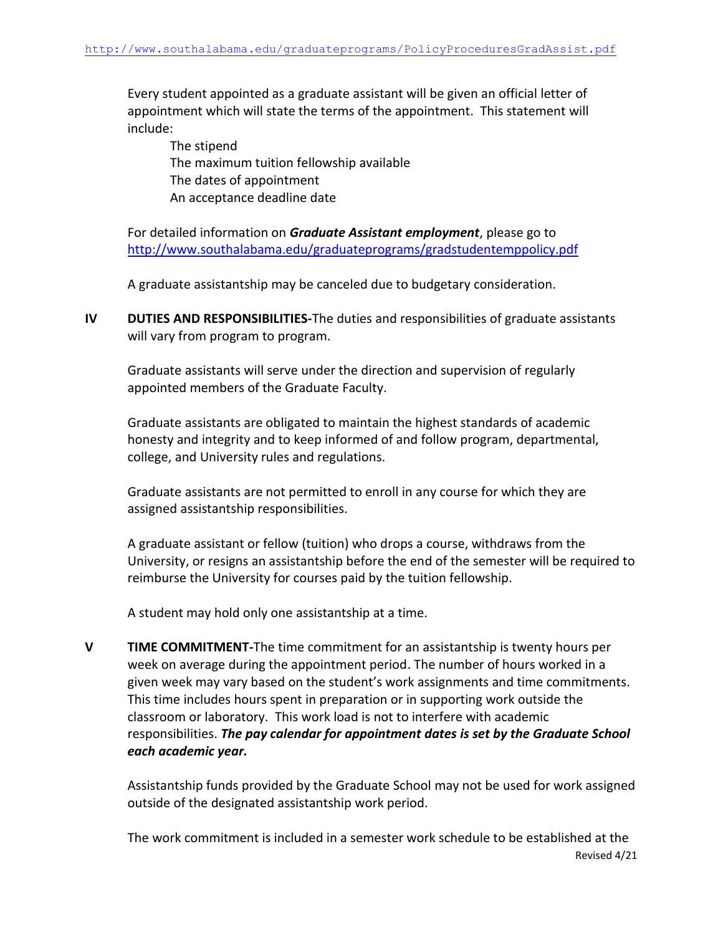Every student appointed as a graduate assistant will be given an official letter of appointment which will state the terms of the appointment. This statement will include:

The stipend The maximum tuition fellowship available The dates of appointment An acceptance deadline date

For detailed information on *Graduate Assistant employment*, please go to http://www.southalabama.edu/graduateprograms/gradstudentemppolicy.pdf

A graduate assistantship may be canceled due to budgetary consideration.

**IV DUTIES AND RESPONSIBILITIES-**The duties and responsibilities of graduate assistants will vary from program to program.

Graduate assistants will serve under the direction and supervision of regularly appointed members of the Graduate Faculty.

Graduate assistants are obligated to maintain the highest standards of academic honesty and integrity and to keep informed of and follow program, departmental, college, and University rules and regulations.

Graduate assistants are not permitted to enroll in any course for which they are assigned assistantship responsibilities.

A graduate assistant or fellow (tuition) who drops a course, withdraws from the University, or resigns an assistantship before the end of the semester will be required to reimburse the University for courses paid by the tuition fellowship.

A student may hold only one assistantship at a time.

**V TIME COMMITMENT-**The time commitment for an assistantship is twenty hours per week on average during the appointment period. The number of hours worked in a given week may vary based on the student's work assignments and time commitments. This time includes hours spent in preparation or in supporting work outside the classroom or laboratory. This work load is not to interfere with academic responsibilities. *The pay calendar for appointment dates is set by the Graduate School each academic year.* 

Assistantship funds provided by the Graduate School may not be used for work assigned outside of the designated assistantship work period.

Revised 4/21 The work commitment is included in a semester work schedule to be established at the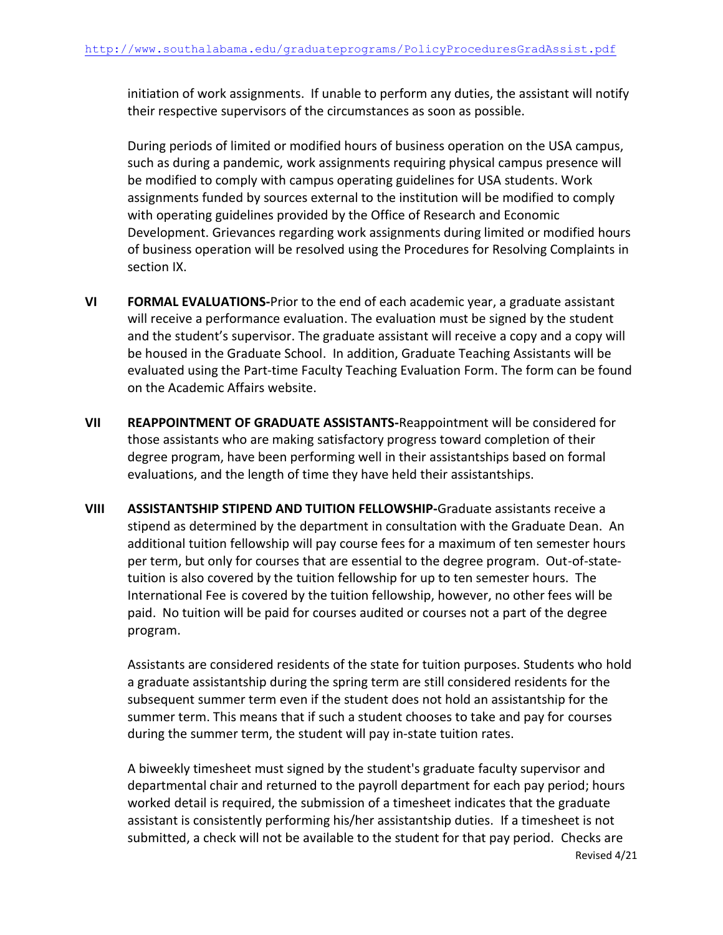initiation of work assignments. If unable to perform any duties, the assistant will notify their respective supervisors of the circumstances as soon as possible.

During periods of limited or modified hours of business operation on the USA campus, such as during a pandemic, work assignments requiring physical campus presence will be modified to comply with campus operating guidelines for USA students. Work assignments funded by sources external to the institution will be modified to comply with operating guidelines provided by the Office of Research and Economic Development. Grievances regarding work assignments during limited or modified hours of business operation will be resolved using the Procedures for Resolving Complaints in section IX.

- **VI FORMAL EVALUATIONS-**Prior to the end of each academic year, a graduate assistant will receive a performance evaluation. The evaluation must be signed by the student and the student's supervisor. The graduate assistant will receive a copy and a copy will be housed in the Graduate School. In addition, Graduate Teaching Assistants will be evaluated using the Part‐time Faculty Teaching Evaluation Form. The form can be found on the Academic Affairs website.
- **VII REAPPOINTMENT OF GRADUATE ASSISTANTS-**Reappointment will be considered for those assistants who are making satisfactory progress toward completion of their degree program, have been performing well in their assistantships based on formal evaluations, and the length of time they have held their assistantships.
- **VIII ASSISTANTSHIP STIPEND AND TUITION FELLOWSHIP-**Graduate assistants receive a stipend as determined by the department in consultation with the Graduate Dean. An additional tuition fellowship will pay course fees for a maximum of ten semester hours per term, but only for courses that are essential to the degree program. Out-of-statetuition is also covered by the tuition fellowship for up to ten semester hours. The International Fee is covered by the tuition fellowship, however, no other fees will be paid. No tuition will be paid for courses audited or courses not a part of the degree program.

Assistants are considered residents of the state for tuition purposes. Students who hold a graduate assistantship during the spring term are still considered residents for the subsequent summer term even if the student does not hold an assistantship for the summer term. This means that if such a student chooses to take and pay for courses during the summer term, the student will pay in‐state tuition rates.

A biweekly timesheet must signed by the student's graduate faculty supervisor and departmental chair and returned to the payroll department for each pay period; hours worked detail is required, the submission of a timesheet indicates that the graduate assistant is consistently performing his/her assistantship duties. If a timesheet is not submitted, a check will not be available to the student for that pay period. Checks are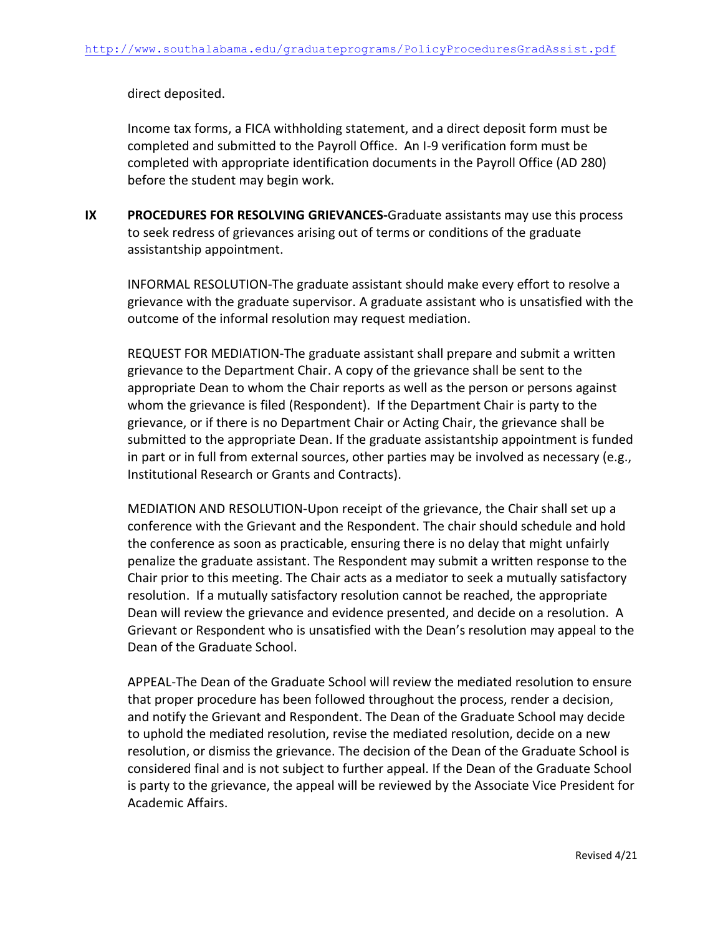direct deposited.

Income tax forms, a FICA withholding statement, and a direct deposit form must be completed and submitted to the Payroll Office. An I-9 verification form must be completed with appropriate identification documents in the Payroll Office (AD 280) before the student may begin work.

**IX PROCEDURES FOR RESOLVING GRIEVANCES-**Graduate assistants may use this process to seek redress of grievances arising out of terms or conditions of the graduate assistantship appointment.

INFORMAL RESOLUTION-The graduate assistant should make every effort to resolve a grievance with the graduate supervisor. A graduate assistant who is unsatisfied with the outcome of the informal resolution may request mediation.

REQUEST FOR MEDIATION-The graduate assistant shall prepare and submit a written grievance to the Department Chair. A copy of the grievance shall be sent to the appropriate Dean to whom the Chair reports as well as the person or persons against whom the grievance is filed (Respondent). If the Department Chair is party to the grievance, or if there is no Department Chair or Acting Chair, the grievance shall be submitted to the appropriate Dean. If the graduate assistantship appointment is funded in part or in full from external sources, other parties may be involved as necessary (e.g., Institutional Research or Grants and Contracts).

MEDIATION AND RESOLUTION-Upon receipt of the grievance, the Chair shall set up a conference with the Grievant and the Respondent. The chair should schedule and hold the conference as soon as practicable, ensuring there is no delay that might unfairly penalize the graduate assistant. The Respondent may submit a written response to the Chair prior to this meeting. The Chair acts as a mediator to seek a mutually satisfactory resolution. If a mutually satisfactory resolution cannot be reached, the appropriate Dean will review the grievance and evidence presented, and decide on a resolution. A Grievant or Respondent who is unsatisfied with the Dean's resolution may appeal to the Dean of the Graduate School.

APPEAL-The Dean of the Graduate School will review the mediated resolution to ensure that proper procedure has been followed throughout the process, render a decision, and notify the Grievant and Respondent. The Dean of the Graduate School may decide to uphold the mediated resolution, revise the mediated resolution, decide on a new resolution, or dismiss the grievance. The decision of the Dean of the Graduate School is considered final and is not subject to further appeal. If the Dean of the Graduate School is party to the grievance, the appeal will be reviewed by the Associate Vice President for Academic Affairs.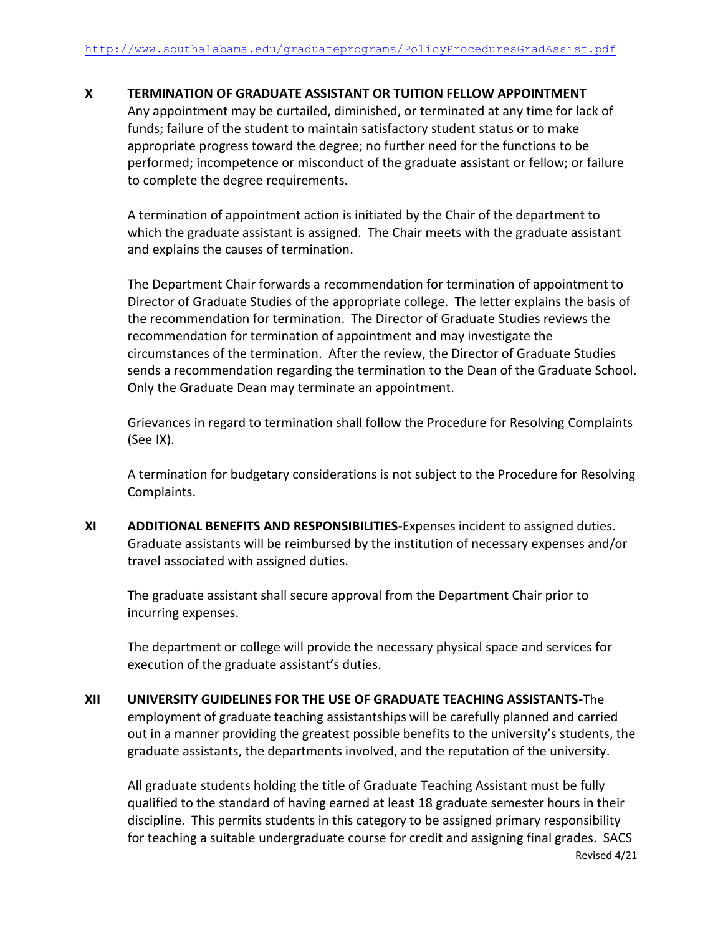### **X TERMINATION OF GRADUATE ASSISTANT OR TUITION FELLOW APPOINTMENT**

Any appointment may be curtailed, diminished, or terminated at any time for lack of funds; failure of the student to maintain satisfactory student status or to make appropriate progress toward the degree; no further need for the functions to be performed; incompetence or misconduct of the graduate assistant or fellow; or failure to complete the degree requirements.

A termination of appointment action is initiated by the Chair of the department to which the graduate assistant is assigned. The Chair meets with the graduate assistant and explains the causes of termination.

The Department Chair forwards a recommendation for termination of appointment to Director of Graduate Studies of the appropriate college. The letter explains the basis of the recommendation for termination. The Director of Graduate Studies reviews the recommendation for termination of appointment and may investigate the circumstances of the termination. After the review, the Director of Graduate Studies sends a recommendation regarding the termination to the Dean of the Graduate School. Only the Graduate Dean may terminate an appointment.

Grievances in regard to termination shall follow the Procedure for Resolving Complaints (See IX).

A termination for budgetary considerations is not subject to the Procedure for Resolving Complaints.

**XI ADDITIONAL BENEFITS AND RESPONSIBILITIES-**Expenses incident to assigned duties. Graduate assistants will be reimbursed by the institution of necessary expenses and/or travel associated with assigned duties.

The graduate assistant shall secure approval from the Department Chair prior to incurring expenses.

The department or college will provide the necessary physical space and services for execution of the graduate assistant's duties.

**XII UNIVERSITY GUIDELINES FOR THE USE OF GRADUATE TEACHING ASSISTANTS-**The employment of graduate teaching assistantships will be carefully planned and carried out in a manner providing the greatest possible benefits to the university's students, the graduate assistants, the departments involved, and the reputation of the university.

Revised 4/21 All graduate students holding the title of Graduate Teaching Assistant must be fully qualified to the standard of having earned at least 18 graduate semester hours in their discipline. This permits students in this category to be assigned primary responsibility for teaching a suitable undergraduate course for credit and assigning final grades. SACS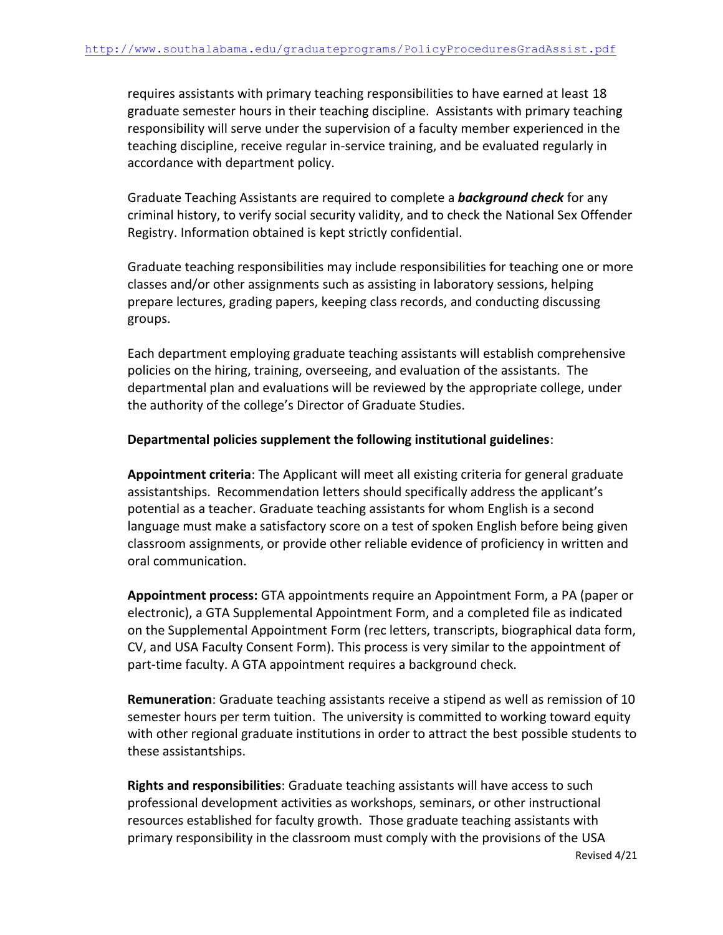requires assistants with primary teaching responsibilities to have earned at least 18 graduate semester hours in their teaching discipline. Assistants with primary teaching responsibility will serve under the supervision of a faculty member experienced in the teaching discipline, receive regular in-service training, and be evaluated regularly in accordance with department policy.

Graduate Teaching Assistants are required to complete a *background check* for any criminal history, to verify social security validity, and to check the National Sex Offender Registry. Information obtained is kept strictly confidential.

Graduate teaching responsibilities may include responsibilities for teaching one or more classes and/or other assignments such as assisting in laboratory sessions, helping prepare lectures, grading papers, keeping class records, and conducting discussing groups.

Each department employing graduate teaching assistants will establish comprehensive policies on the hiring, training, overseeing, and evaluation of the assistants. The departmental plan and evaluations will be reviewed by the appropriate college, under the authority of the college's Director of Graduate Studies.

### **Departmental policies supplement the following institutional guidelines**:

**Appointment criteria**: The Applicant will meet all existing criteria for general graduate assistantships. Recommendation letters should specifically address the applicant's potential as a teacher. Graduate teaching assistants for whom English is a second language must make a satisfactory score on a test of spoken English before being given classroom assignments, or provide other reliable evidence of proficiency in written and oral communication.

**Appointment process:** GTA appointments require an Appointment Form, a PA (paper or electronic), a GTA Supplemental Appointment Form, and a completed file as indicated on the Supplemental Appointment Form (rec letters, transcripts, biographical data form, CV, and USA Faculty Consent Form). This process is very similar to the appointment of part-time faculty. A GTA appointment requires a background check.

**Remuneration**: Graduate teaching assistants receive a stipend as well as remission of 10 semester hours per term tuition. The university is committed to working toward equity with other regional graduate institutions in order to attract the best possible students to these assistantships.

**Rights and responsibilities**: Graduate teaching assistants will have access to such professional development activities as workshops, seminars, or other instructional resources established for faculty growth. Those graduate teaching assistants with primary responsibility in the classroom must comply with the provisions of the USA